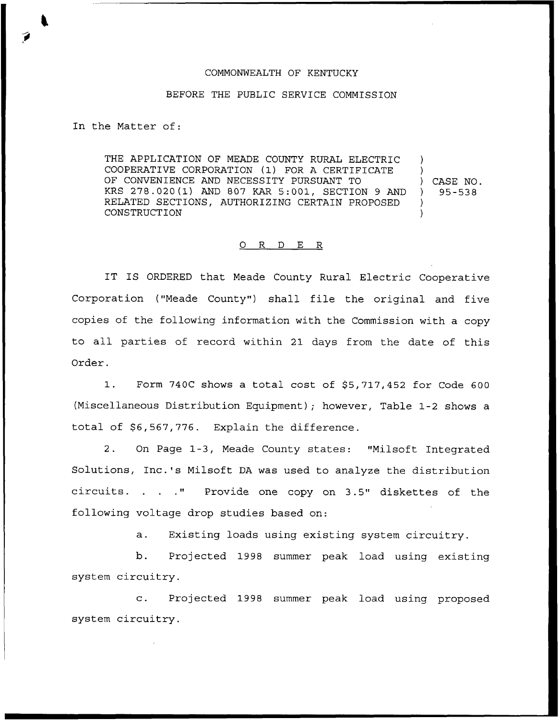## COMMONWEALTH OF KENTUCKY

## BEFORE THE PUBLIC SERVICE COMMISSION

In the Matter of:

THE APPLICATION OF MEADE COUNTY RURAL ELECTRIC COOPERATIVE CORPORATION (1) FOR <sup>A</sup> CERTIFICATE OF CONVENIENCE AND NECESSITY PURSUANT TO KRS 278.020(1) AND 807 KAR 5:001, SECTION <sup>9</sup> AND RELATED SECTIONS, AUTHORIZING CERTAIN PROPOSED CONSTRUCTION ) ) )  $\lambda$ 

) CASE NO.  $)$  95 – 538

## 0 R <sup>D</sup> E R

IT IS ORDERED that Meade County Rural Electric Cooperative Corporation ("Meade County") shall file the original and five copies of the following information with the Commission with a copy to all parties of record within 21 days from the date of this Order.

1. Form 740C shows a total cost of \$5,717,452 for Code 600 (Miscellaneous Distribution Equipment); however, Table 1-2 shows a total of \$6,567,776. Explain the difference.

2. On Page 1-3, Meade County states: "Milsoft Integrated Solutions, Inc.'s Milsoft DA was used to analyze the distribution circuits. . . . " Provide one copy on 3.5" diskettes of the following voltage drop studies based on:

a. Existing loads using existing system circuitry.

b. Projected 1998 summer peak load using existing system circuitry.

c. Projected 1998 summer peak load using proposed system circuitry.